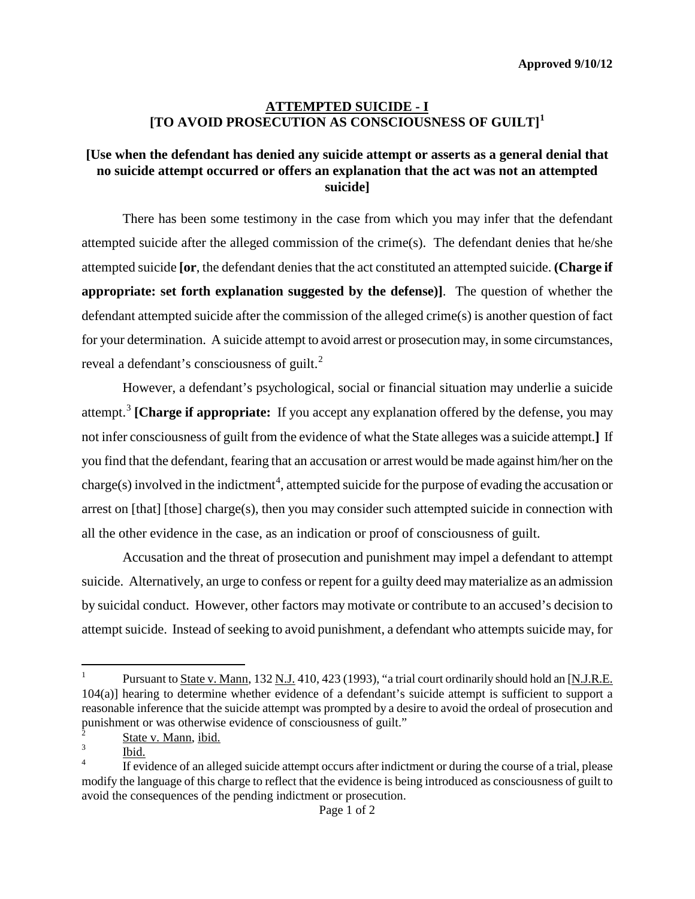**Approved 9/10/12**

## **ATTEMPTED SUICIDE - I [TO AVOID PROSECUTION AS CONSCIOUSNESS OF GUILT] [1](#page-0-0)**

## **[Use when the defendant has denied any suicide attempt or asserts as a general denial that no suicide attempt occurred or offers an explanation that the act was not an attempted suicide]**

There has been some testimony in the case from which you may infer that the defendant attempted suicide after the alleged commission of the crime(s). The defendant denies that he/she attempted suicide **[or**, the defendant denies that the act constituted an attempted suicide. **(Charge if appropriate: set forth explanation suggested by the defense)]**. The question of whether the defendant attempted suicide after the commission of the alleged crime(s) is another question of fact for your determination. A suicide attempt to avoid arrest or prosecution may, in some circumstances, reveal a defendant's consciousness of guilt.<sup>[2](#page-0-1)</sup>

However, a defendant's psychological, social or financial situation may underlie a suicide attempt.[3](#page-0-2) **[Charge if appropriate:** If you accept any explanation offered by the defense, you may not infer consciousness of guilt from the evidence of what the State alleges was a suicide attempt.**]** If you find that the defendant, fearing that an accusation or arrest would be made against him/her on the charge(s) involved in the indictment<sup>[4](#page-0-3)</sup>, attempted suicide for the purpose of evading the accusation or arrest on [that] [those] charge(s), then you may consider such attempted suicide in connection with all the other evidence in the case, as an indication or proof of consciousness of guilt.

Accusation and the threat of prosecution and punishment may impel a defendant to attempt suicide. Alternatively, an urge to confess or repent for a guilty deed may materialize as an admission by suicidal conduct. However, other factors may motivate or contribute to an accused's decision to attempt suicide. Instead of seeking to avoid punishment, a defendant who attempts suicide may, for

<span id="page-0-4"></span><span id="page-0-0"></span> $\overline{a}$ <sup>1</sup> Pursuant to State v. Mann, 132 N.J. 410, 423 (1993), "a trial court ordinarily should hold an [N.J.R.E. 104(a)] hearing to determine whether evidence of a defendant's suicide attempt is sufficient to support a reasonable inference that the suicide attempt was prompted by a desire to avoid the ordeal of prosecution and punishment or was otherwise evidence of consciousness of guilt."

<span id="page-0-2"></span><span id="page-0-1"></span> $\frac{2}{3}$  State v. Mann, ibid.

Ibid.

<span id="page-0-3"></span>If evidence of an alleged suicide attempt occurs after indictment or during the course of a trial, please modify the language of this charge to reflect that the evidence is being introduced as consciousness of guilt to avoid the consequences of the pending indictment or prosecution.